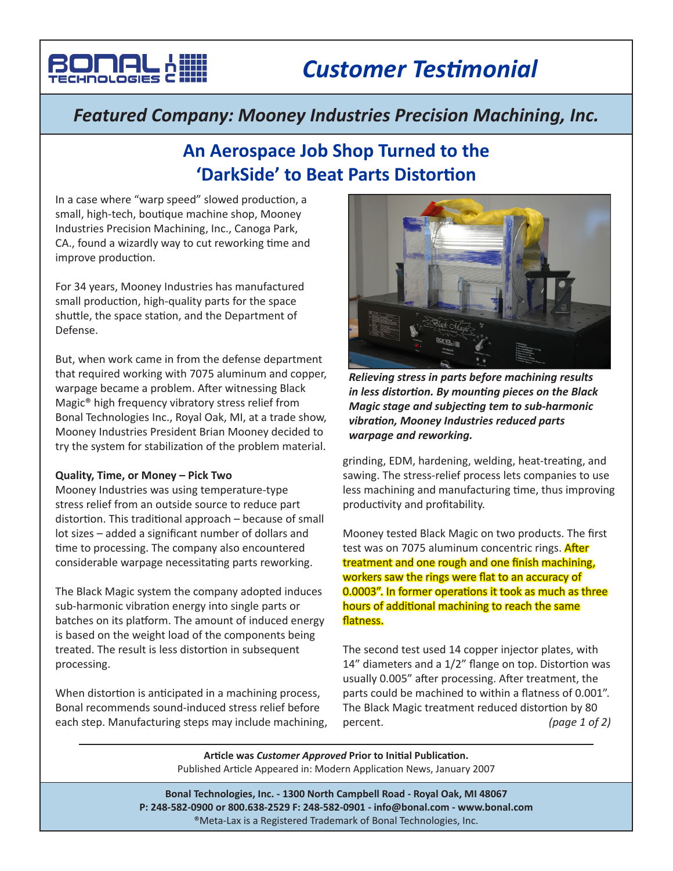

## *Featured Company: Mooney Industries Precision Machining, Inc.*

# **An Aerospace Job Shop Turned to the 'DarkSide' to Beat Parts Distortion**

In a case where "warp speed" slowed production, a small, high-tech, boutique machine shop, Mooney Industries Precision Machining, Inc., Canoga Park, CA., found a wizardly way to cut reworking time and improve production.

For 34 years, Mooney Industries has manufactured small production, high-quality parts for the space shuttle, the space station, and the Department of Defense.

But, when work came in from the defense department that required working with 7075 aluminum and copper, warpage became a problem. After witnessing Black Magic® high frequency vibratory stress relief from Bonal Technologies Inc., Royal Oak, MI, at a trade show, Mooney Industries President Brian Mooney decided to try the system for stabilization of the problem material.

## **Quality, Time, or Money – Pick Two**

Mooney Industries was using temperature-type stress relief from an outside source to reduce part distortion. This traditional approach – because of small lot sizes – added a significant number of dollars and time to processing. The company also encountered considerable warpage necessitating parts reworking.

The Black Magic system the company adopted induces sub-harmonic vibration energy into single parts or batches on its platform. The amount of induced energy is based on the weight load of the components being treated. The result is less distortion in subsequent processing.

When distortion is anticipated in a machining process, Bonal recommends sound-induced stress relief before each step. Manufacturing steps may include machining,



*Relieving stress in parts before machining results in less distortion. By mounting pieces on the Black Magic stage and subjecting tem to sub-harmonic vibration, Mooney Industries reduced parts warpage and reworking.*

grinding, EDM, hardening, welding, heat-treating, and sawing. The stress-relief process lets companies to use less machining and manufacturing time, thus improving productivity and profitability.

Mooney tested Black Magic on two products. The first test was on 7075 aluminum concentric rings. **After** treatment and one rough and one finish machining, workers saw the rings were flat to an accuracy of 0.0003". In former operations it took as much as three hours of additional machining to reach the same flatness.

The second test used 14 copper injector plates, with 14" diameters and a 1/2" flange on top. Distortion was usually 0.005" after processing. After treatment, the parts could be machined to within a flatness of 0.001". The Black Magic treatment reduced distortion by 80 percent. *(page 1 of 2)*

**Article was** *Customer Approved* **Prior to Initial Publication.** Published Article Appeared in: Modern Application News, January 2007

**Bonal Technologies, Inc. - 1300 North Campbell Road - Royal Oak, MI 48067 P: 248-582-0900 or 800.638-2529 F: 248-582-0901 - info@bonal.com - www.bonal.com** ®Meta-Lax is a Registered Trademark of Bonal Technologies, Inc.